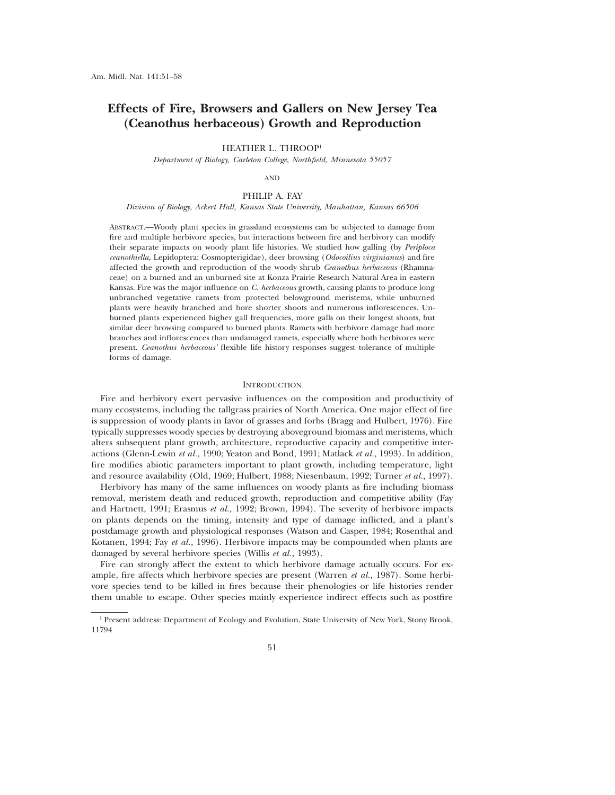# **Effects of Fire, Browsers and Gallers on New Jersey Tea (Ceanothus herbaceous) Growth and Reproduction**

HEATHER L. THROOP<sup>1</sup>

*Department of Biology, Carleton College, Northfield, Minnesota 55057*

AND

## PHILIP A. FAY

# *Division of Biology, Ackert Hall, Kansas State University, Manhattan, Kansas 66506*

ABSTRACT.—Woody plant species in grassland ecosystems can be subjected to damage from fire and multiple herbivore species, but interactions between fire and herbivory can modify their separate impacts on woody plant life histories. We studied how galling (by *Periploca ceanothiella,* Lepidoptera: Cosmopterigidae), deer browsing (*Odocoilius virginianus*) and fire affected the growth and reproduction of the woody shrub *Ceanothus herbaceous* (Rhamnaceae) on a burned and an unburned site at Konza Prairie Research Natural Area in eastern Kansas. Fire was the major influence on *C. herbaceous* growth, causing plants to produce long unbranched vegetative ramets from protected belowground meristems, while unburned plants were heavily branched and bore shorter shoots and numerous inflorescences. Unburned plants experienced higher gall frequencies, more galls on their longest shoots, but similar deer browsing compared to burned plants. Ramets with herbivore damage had more branches and inflorescences than undamaged ramets, especially where both herbivores were present. *Ceanothus herbaceous'* flexible life history responses suggest tolerance of multiple forms of damage.

## **INTRODUCTION**

Fire and herbivory exert pervasive influences on the composition and productivity of many ecosystems, including the tallgrass prairies of North America. One major effect of fire is suppression of woody plants in favor of grasses and forbs (Bragg and Hulbert, 1976). Fire typically suppresses woody species by destroying aboveground biomass and meristems, which alters subsequent plant growth, architecture, reproductive capacity and competitive interactions (Glenn-Lewin *et al.,* 1990; Yeaton and Bond, 1991; Matlack *et al.,* 1993). In addition, fire modifies abiotic parameters important to plant growth, including temperature, light and resource availability (Old, 1969; Hulbert, 1988; Niesenbaum, 1992; Turner *et al.,* 1997).

Herbivory has many of the same influences on woody plants as fire including biomass removal, meristem death and reduced growth, reproduction and competitive ability (Fay and Hartnett, 1991; Erasmus *et al.,* 1992; Brown, 1994). The severity of herbivore impacts on plants depends on the timing, intensity and type of damage inflicted, and a plant's postdamage growth and physiological responses (Watson and Casper, 1984; Rosenthal and Kotanen, 1994; Fay *et al.,* 1996). Herbivore impacts may be compounded when plants are damaged by several herbivore species (Willis *et al.,* 1993).

Fire can strongly affect the extent to which herbivore damage actually occurs. For example, fire affects which herbivore species are present (Warren *et al.,* 1987). Some herbivore species tend to be killed in fires because their phenologies or life histories render them unable to escape. Other species mainly experience indirect effects such as postfire

<sup>1</sup> Present address: Department of Ecology and Evolution, State University of New York, Stony Brook, 11794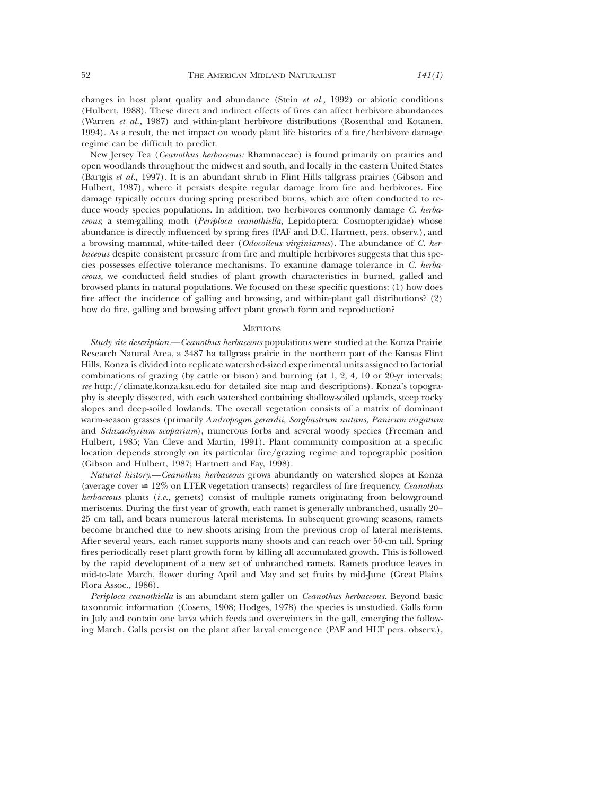changes in host plant quality and abundance (Stein *et al.,* 1992) or abiotic conditions (Hulbert, 1988). These direct and indirect effects of fires can affect herbivore abundances (Warren *et al.,* 1987) and within-plant herbivore distributions (Rosenthal and Kotanen, 1994). As a result, the net impact on woody plant life histories of a fire/herbivore damage regime can be difficult to predict.

New Jersey Tea (*Ceanothus herbaceous:* Rhamnaceae) is found primarily on prairies and open woodlands throughout the midwest and south, and locally in the eastern United States (Bartgis *et al.,* 1997). It is an abundant shrub in Flint Hills tallgrass prairies (Gibson and Hulbert, 1987), where it persists despite regular damage from fire and herbivores. Fire damage typically occurs during spring prescribed burns, which are often conducted to reduce woody species populations. In addition, two herbivores commonly damage *C. herbaceous*; a stem-galling moth (*Periploca ceanothiella,* Lepidoptera: Cosmopterigidae) whose abundance is directly influenced by spring fires (PAF and D.C. Hartnett, pers. observ.), and a browsing mammal, white-tailed deer (*Odocoileus virginianus*). The abundance of *C. herbaceous* despite consistent pressure from fire and multiple herbivores suggests that this species possesses effective tolerance mechanisms. To examine damage tolerance in *C. herbaceous,* we conducted field studies of plant growth characteristics in burned, galled and browsed plants in natural populations. We focused on these specific questions: (1) how does fire affect the incidence of galling and browsing, and within-plant gall distributions? (2) how do fire, galling and browsing affect plant growth form and reproduction?

#### **METHODS**

*Study site description.*—*Ceanothus herbaceous* populations were studied at the Konza Prairie Research Natural Area, a 3487 ha tallgrass prairie in the northern part of the Kansas Flint Hills. Konza is divided into replicate watershed-sized experimental units assigned to factorial combinations of grazing (by cattle or bison) and burning (at 1, 2, 4, 10 or 20-yr intervals; *see* http://climate.konza.ksu.edu for detailed site map and descriptions). Konza's topography is steeply dissected, with each watershed containing shallow-soiled uplands, steep rocky slopes and deep-soiled lowlands. The overall vegetation consists of a matrix of dominant warm-season grasses (primarily *Andropogon gerardii, Sorghastrum nutans, Panicum virgatum* and *Schizachyrium scoparium*), numerous forbs and several woody species (Freeman and Hulbert, 1985; Van Cleve and Martin, 1991). Plant community composition at a specific location depends strongly on its particular fire/grazing regime and topographic position (Gibson and Hulbert, 1987; Hartnett and Fay, 1998).

*Natural history.*—*Ceanothus herbaceous* grows abundantly on watershed slopes at Konza (average cover  $\approx 12\%$  on LTER vegetation transects) regardless of fire frequency. *Ceanothus herbaceous* plants (*i.e.,* genets) consist of multiple ramets originating from belowground meristems. During the first year of growth, each ramet is generally unbranched, usually 20– 25 cm tall, and bears numerous lateral meristems. In subsequent growing seasons, ramets become branched due to new shoots arising from the previous crop of lateral meristems. After several years, each ramet supports many shoots and can reach over 50-cm tall. Spring fires periodically reset plant growth form by killing all accumulated growth. This is followed by the rapid development of a new set of unbranched ramets. Ramets produce leaves in mid-to-late March, flower during April and May and set fruits by mid-June (Great Plains Flora Assoc., 1986).

*Periploca ceanothiella* is an abundant stem galler on *Ceanothus herbaceous.* Beyond basic taxonomic information (Cosens, 1908; Hodges, 1978) the species is unstudied. Galls form in July and contain one larva which feeds and overwinters in the gall, emerging the following March. Galls persist on the plant after larval emergence (PAF and HLT pers. observ.),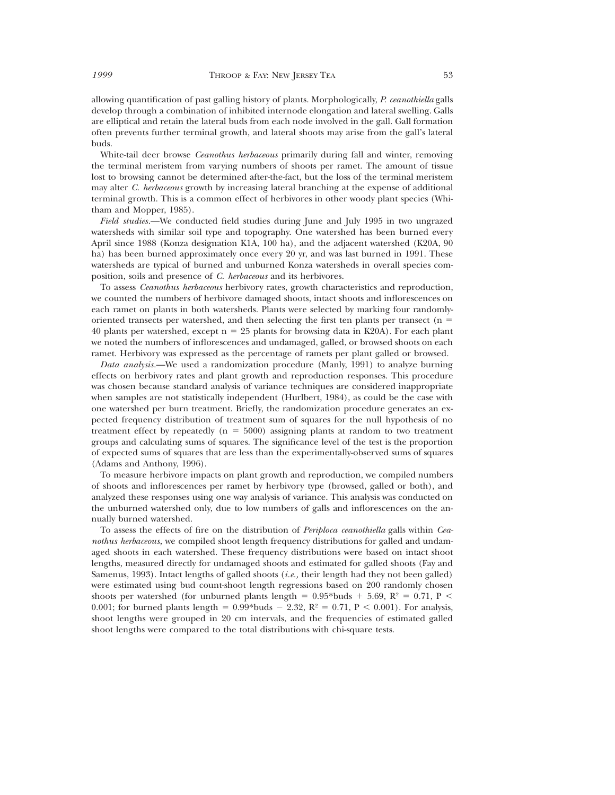allowing quantification of past galling history of plants. Morphologically, *P. ceanothiella* galls develop through a combination of inhibited internode elongation and lateral swelling. Galls are elliptical and retain the lateral buds from each node involved in the gall. Gall formation often prevents further terminal growth, and lateral shoots may arise from the gall's lateral buds.

White-tail deer browse *Ceanothus herbaceous* primarily during fall and winter, removing the terminal meristem from varying numbers of shoots per ramet. The amount of tissue lost to browsing cannot be determined after-the-fact, but the loss of the terminal meristem may alter *C. herbaceous* growth by increasing lateral branching at the expense of additional terminal growth. This is a common effect of herbivores in other woody plant species (Whitham and Mopper, 1985).

*Field studies.*—We conducted field studies during June and July 1995 in two ungrazed watersheds with similar soil type and topography. One watershed has been burned every April since 1988 (Konza designation K1A, 100 ha), and the adjacent watershed (K20A, 90 ha) has been burned approximately once every 20 yr, and was last burned in 1991. These watersheds are typical of burned and unburned Konza watersheds in overall species composition, soils and presence of *C. herbaceous* and its herbivores.

To assess *Ceanothus herbaceous* herbivory rates, growth characteristics and reproduction, we counted the numbers of herbivore damaged shoots, intact shoots and inflorescences on each ramet on plants in both watersheds. Plants were selected by marking four randomlyoriented transects per watershed, and then selecting the first ten plants per transect ( $n =$ 40 plants per watershed, except  $n = 25$  plants for browsing data in K20A). For each plant we noted the numbers of inflorescences and undamaged, galled, or browsed shoots on each ramet. Herbivory was expressed as the percentage of ramets per plant galled or browsed.

*Data analysis.*—We used a randomization procedure (Manly, 1991) to analyze burning effects on herbivory rates and plant growth and reproduction responses. This procedure was chosen because standard analysis of variance techniques are considered inappropriate when samples are not statistically independent (Hurlbert, 1984), as could be the case with one watershed per burn treatment. Briefly, the randomization procedure generates an expected frequency distribution of treatment sum of squares for the null hypothesis of no treatment effect by repeatedly  $(n = 5000)$  assigning plants at random to two treatment groups and calculating sums of squares. The significance level of the test is the proportion of expected sums of squares that are less than the experimentally-observed sums of squares (Adams and Anthony, 1996).

To measure herbivore impacts on plant growth and reproduction, we compiled numbers of shoots and inflorescences per ramet by herbivory type (browsed, galled or both), and analyzed these responses using one way analysis of variance. This analysis was conducted on the unburned watershed only, due to low numbers of galls and inflorescences on the annually burned watershed.

To assess the effects of fire on the distribution of *Periploca ceanothiella* galls within *Ceanothus herbaceous,* we compiled shoot length frequency distributions for galled and undamaged shoots in each watershed. These frequency distributions were based on intact shoot lengths, measured directly for undamaged shoots and estimated for galled shoots (Fay and Samenus, 1993). Intact lengths of galled shoots (*i.e.,* their length had they not been galled) were estimated using bud count-shoot length regressions based on 200 randomly chosen shoots per watershed (for unburned plants length =  $0.95*$ buds +  $5.69$ , R<sup>2</sup> = 0.71, P < 0.001; for burned plants length =  $0.99*$ buds -  $2.32$ , R<sup>2</sup> = 0.71, P < 0.001). For analysis, shoot lengths were grouped in 20 cm intervals, and the frequencies of estimated galled shoot lengths were compared to the total distributions with chi-square tests.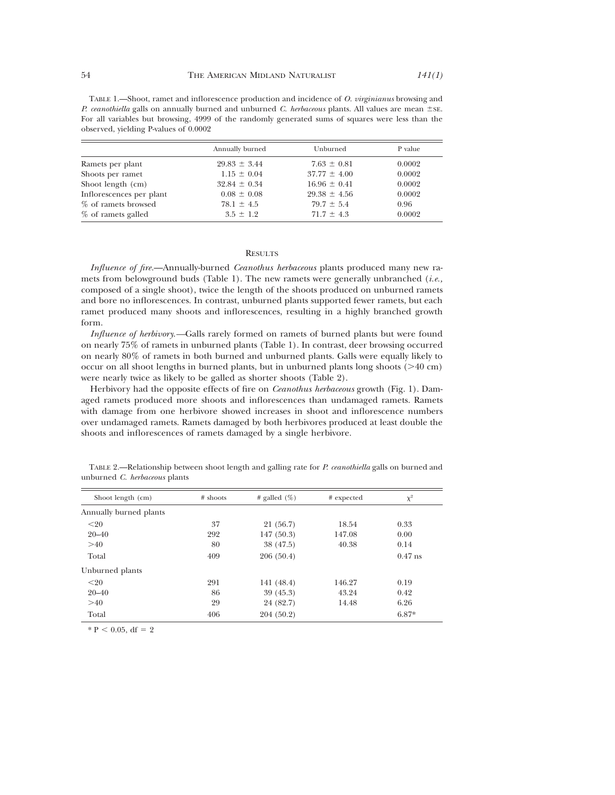TABLE 1.—Shoot, ramet and inflorescence production and incidence of *O. virginianus* browsing and *P. ceanothiella* galls on annually burned and unburned *C. herbaceous* plants. All values are mean  $\pm$  SE. For all variables but browsing, 4999 of the randomly generated sums of squares were less than the observed, yielding P-values of 0.0002

|                          | Annually burned  | Unburned         | P value |  |
|--------------------------|------------------|------------------|---------|--|
| Ramets per plant         | $29.83 \pm 3.44$ | $7.63 \pm 0.81$  | 0.0002  |  |
| Shoots per ramet         | $1.15 \pm 0.04$  | $37.77 \pm 4.00$ | 0.0002  |  |
| Shoot length (cm)        | $32.84 \pm 0.34$ | $16.96 \pm 0.41$ | 0.0002  |  |
| Inflorescences per plant | $0.08 \pm 0.08$  | $29.38 \pm 4.56$ | 0.0002  |  |
| % of ramets browsed      | $78.1 \pm 4.5$   | $79.7 \pm 5.4$   | 0.96    |  |
| % of ramets galled       | $3.5 \pm 1.2$    | $71.7 \pm 4.3$   | 0.0002  |  |

### **RESULTS**

*Influence of fire.*—Annually-burned *Ceanothus herbaceous* plants produced many new ramets from belowground buds (Table 1). The new ramets were generally unbranched (*i.e.,* composed of a single shoot), twice the length of the shoots produced on unburned ramets and bore no inflorescences. In contrast, unburned plants supported fewer ramets, but each ramet produced many shoots and inflorescences, resulting in a highly branched growth form.

*Influence of herbivory.—*Galls rarely formed on ramets of burned plants but were found on nearly 75% of ramets in unburned plants (Table 1). In contrast, deer browsing occurred on nearly 80% of ramets in both burned and unburned plants. Galls were equally likely to occur on all shoot lengths in burned plants, but in unburned plants long shoots  $($ >40 cm) were nearly twice as likely to be galled as shorter shoots (Table 2).

Herbivory had the opposite effects of fire on *Ceanothus herbaceous* growth (Fig. 1). Damaged ramets produced more shoots and inflorescences than undamaged ramets. Ramets with damage from one herbivore showed increases in shoot and inflorescence numbers over undamaged ramets. Ramets damaged by both herbivores produced at least double the shoots and inflorescences of ramets damaged by a single herbivore.

| Shoot length (cm)      | $#$ shoots | # galled $(\%)$ | # expected | $\chi^2$  |
|------------------------|------------|-----------------|------------|-----------|
| Annually burned plants |            |                 |            |           |
| $20$                   | 37         | 21 (56.7)       | 18.54      | 0.33      |
| $20 - 40$              | 292        | 147(50.3)       | 147.08     | 0.00      |
| >40                    | 80         | 38 (47.5)       | 40.38      | 0.14      |
| Total                  | 409        | 206(50.4)       |            | $0.47$ ns |
| Unburned plants        |            |                 |            |           |
| $20$                   | 291        | 141 (48.4)      | 146.27     | 0.19      |
| $20 - 40$              | 86         | 39(45.3)        | 43.24      | 0.42      |
| >40                    | 29         | 24 (82.7)       | 14.48      | 6.26      |
| Total                  | 406        | 204 (50.2)      |            | 6.87*     |

TABLE 2.—Relationship between shoot length and galling rate for *P. ceanothiella* galls on burned and unburned *C. herbaceous* plants

 $* P < 0.05$ , df = 2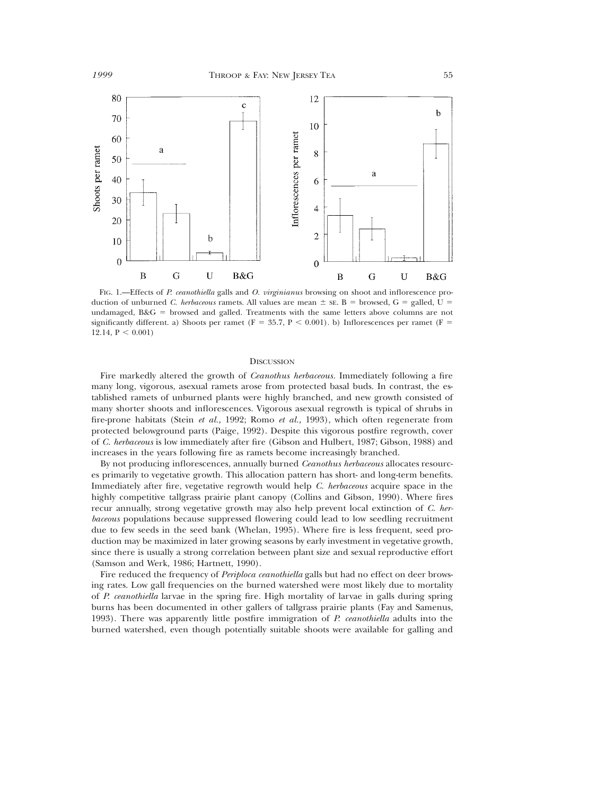

FIG. 1.—Effects of *P. ceanothiella* galls and *O. virginianus* browsing on shoot and inflorescence production of unburned *C. herbaceous* ramets. All values are mean  $\pm$  see. B = browsed, G = galled, U = undamaged,  $B&G =$  browsed and galled. Treatments with the same letters above columns are not significantly different. a) Shoots per ramet ( $F = 35.7$ ,  $P < 0.001$ ). b) Inflorescences per ramet ( $F = 35.7$ ) 12.14,  $P < 0.001$ )

## **DISCUSSION**

Fire markedly altered the growth of *Ceanothus herbaceous.* Immediately following a fire many long, vigorous, asexual ramets arose from protected basal buds. In contrast, the established ramets of unburned plants were highly branched, and new growth consisted of many shorter shoots and inflorescences. Vigorous asexual regrowth is typical of shrubs in fire-prone habitats (Stein *et al.,* 1992; Romo *et al.,* 1993), which often regenerate from protected belowground parts (Paige, 1992). Despite this vigorous postfire regrowth, cover of *C. herbaceous* is low immediately after fire (Gibson and Hulbert, 1987; Gibson, 1988) and increases in the years following fire as ramets become increasingly branched.

By not producing inflorescences, annually burned *Ceanothus herbaceous* allocates resources primarily to vegetative growth. This allocation pattern has short- and long-term benefits. Immediately after fire, vegetative regrowth would help *C. herbaceous* acquire space in the highly competitive tallgrass prairie plant canopy (Collins and Gibson, 1990). Where fires recur annually, strong vegetative growth may also help prevent local extinction of *C. herbaceous* populations because suppressed flowering could lead to low seedling recruitment due to few seeds in the seed bank (Whelan, 1995). Where fire is less frequent, seed production may be maximized in later growing seasons by early investment in vegetative growth, since there is usually a strong correlation between plant size and sexual reproductive effort (Samson and Werk, 1986; Hartnett, 1990).

Fire reduced the frequency of *Periploca ceanothiella* galls but had no effect on deer browsing rates. Low gall frequencies on the burned watershed were most likely due to mortality of *P. ceanothiella* larvae in the spring fire. High mortality of larvae in galls during spring burns has been documented in other gallers of tallgrass prairie plants (Fay and Samenus, 1993). There was apparently little postfire immigration of *P. ceanothiella* adults into the burned watershed, even though potentially suitable shoots were available for galling and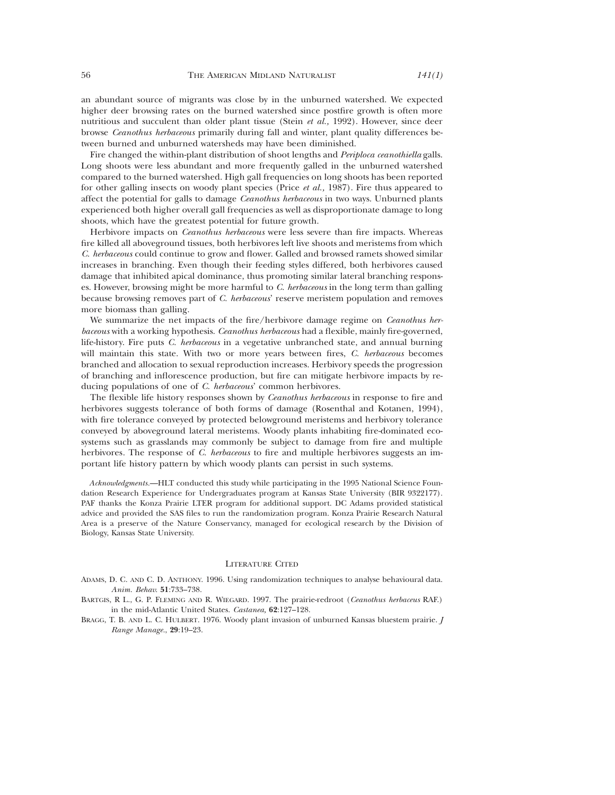an abundant source of migrants was close by in the unburned watershed. We expected higher deer browsing rates on the burned watershed since postfire growth is often more nutritious and succulent than older plant tissue (Stein *et al.,* 1992). However, since deer browse *Ceanothus herbaceous* primarily during fall and winter, plant quality differences between burned and unburned watersheds may have been diminished.

Fire changed the within-plant distribution of shoot lengths and *Periploca ceanothiella* galls. Long shoots were less abundant and more frequently galled in the unburned watershed compared to the burned watershed. High gall frequencies on long shoots has been reported for other galling insects on woody plant species (Price *et al.,* 1987). Fire thus appeared to affect the potential for galls to damage *Ceanothus herbaceous* in two ways. Unburned plants experienced both higher overall gall frequencies as well as disproportionate damage to long shoots, which have the greatest potential for future growth.

Herbivore impacts on *Ceanothus herbaceous* were less severe than fire impacts. Whereas fire killed all aboveground tissues, both herbivores left live shoots and meristems from which *C. herbaceous* could continue to grow and flower. Galled and browsed ramets showed similar increases in branching. Even though their feeding styles differed, both herbivores caused damage that inhibited apical dominance, thus promoting similar lateral branching responses. However, browsing might be more harmful to *C. herbaceous* in the long term than galling because browsing removes part of *C. herbaceous*' reserve meristem population and removes more biomass than galling.

We summarize the net impacts of the fire/herbivore damage regime on *Ceanothus herbaceous* with a working hypothesis. *Ceanothus herbaceous* had a flexible, mainly fire-governed, life-history. Fire puts *C. herbaceous* in a vegetative unbranched state, and annual burning will maintain this state. With two or more years between fires, *C. herbaceous* becomes branched and allocation to sexual reproduction increases. Herbivory speeds the progression of branching and inflorescence production, but fire can mitigate herbivore impacts by reducing populations of one of *C. herbaceous*' common herbivores.

The flexible life history responses shown by *Ceanothus herbaceous* in response to fire and herbivores suggests tolerance of both forms of damage (Rosenthal and Kotanen, 1994), with fire tolerance conveyed by protected belowground meristems and herbivory tolerance conveyed by aboveground lateral meristems. Woody plants inhabiting fire-dominated ecosystems such as grasslands may commonly be subject to damage from fire and multiple herbivores*.* The response of *C. herbaceous* to fire and multiple herbivores suggests an important life history pattern by which woody plants can persist in such systems.

*Acknowledgments.*—HLT conducted this study while participating in the 1995 National Science Foundation Research Experience for Undergraduates program at Kansas State University (BIR 9322177). PAF thanks the Konza Prairie LTER program for additional support. DC Adams provided statistical advice and provided the SAS files to run the randomization program. Konza Prairie Research Natural Area is a preserve of the Nature Conservancy, managed for ecological research by the Division of Biology, Kansas State University.

## LITERATURE CITED

- ADAMS, D. C. AND C. D. ANTHONY. 1996. Using randomization techniques to analyse behavioural data. *Anim. Behav.* **51**:733–738.
- BARTGIS, R L., G. P. FLEMING AND R. WIEGARD. 1997. The prairie-redroot (*Ceanothus herbaceus* RAF.) in the mid-Atlantic United States. *Castanea,* **62**:127–128.
- BRAGG, T. B. AND L. C. HULBERT. 1976. Woody plant invasion of unburned Kansas bluestem prairie. *J Range Manage.*, **29**:19–23.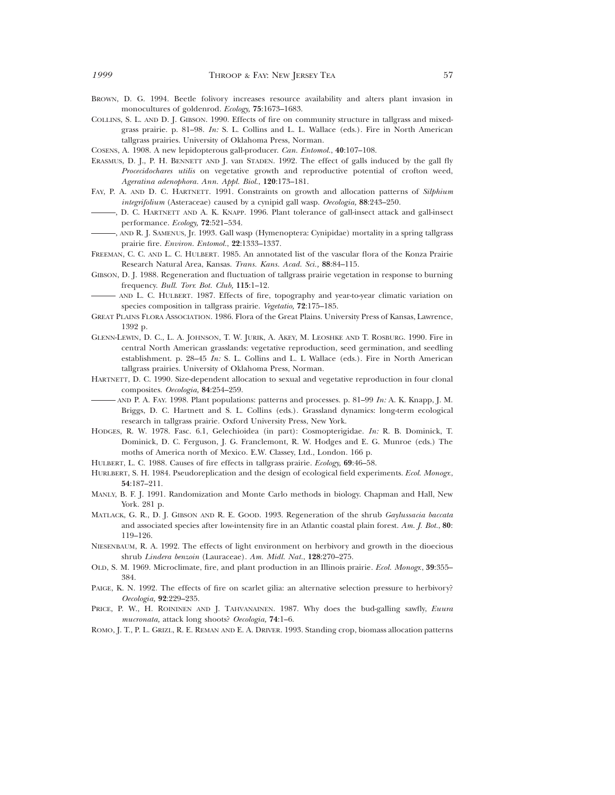- BROWN, D. G. 1994. Beetle folivory increases resource availability and alters plant invasion in monocultures of goldenrod. *Ecology,* **75**:1673–1683.
- COLLINS, S. L. AND D. J. GIBSON. 1990. Effects of fire on community structure in tallgrass and mixedgrass prairie. p. 81–98. *In:* S. L. Collins and L. L. Wallace (eds.). Fire in North American tallgrass prairies. University of Oklahoma Press, Norman.

COSENS, A. 1908. A new lepidopterous gall-producer. *Can. Entomol.*, **40**:107–108.

- ERASMUS, D. J., P. H. BENNETT AND J. van STADEN. 1992. The effect of galls induced by the gall fly *Procecidochares utilis* on vegetative growth and reproductive potential of crofton weed, *Ageratina adenophora. Ann. Appl. Biol.*, **120**:173–181.
- FAY, P. A. AND D. C. HARTNETT. 1991. Constraints on growth and allocation patterns of *Silphium integrifolium* (Asteraceae) caused by a cynipid gall wasp. *Oecologia,* **88**:243–250.
- , D. C. HARTNETT AND A. K. KNAPP. 1996. Plant tolerance of gall-insect attack and gall-insect performance. *Ecology,* **72**:521–534.
- , AND R. J. SAMENUS, Jr. 1993. Gall wasp (Hymenoptera: Cynipidae) mortality in a spring tallgrass prairie fire. *Environ. Entomol.*, **22**:1333–1337.
- FREEMAN, C. C. AND L. C. HULBERT. 1985. An annotated list of the vascular flora of the Konza Prairie Research Natural Area, Kansas. *Trans. Kans. Acad. Sci.,* **88**:84–115.
- GIBSON, D. J. 1988. Regeneration and fluctuation of tallgrass prairie vegetation in response to burning frequency. *Bull. Torr. Bot. Club,* **115**:1–12.
- AND L. C. HULBERT. 1987. Effects of fire, topography and year-to-year climatic variation on species composition in tallgrass prairie. *Vegetatio,* **72**:175–185.
- GREAT PLAINS FLORA ASSOCIATION. 1986. Flora of the Great Plains. University Press of Kansas, Lawrence, 1392 p.
- GLENN-LEWIN, D. C., L. A. JOHNSON, T. W. JURIK, A. AKEY, M. LEOSHKE AND T. ROSBURG. 1990. Fire in central North American grasslands: vegetative reproduction, seed germination, and seedling establishment. p. 28–45 *In:* S. L. Collins and L. L Wallace (eds.). Fire in North American tallgrass prairies. University of Oklahoma Press, Norman.
- HARTNETT, D. C. 1990. Size-dependent allocation to sexual and vegetative reproduction in four clonal composites. *Oecologia,* **84**:254–259.
- AND P. A. FAY. 1998. Plant populations: patterns and processes. p. 81–99 *In:* A. K. Knapp, J. M. Briggs, D. C. Hartnett and S. L. Collins (eds.). Grassland dynamics: long-term ecological research in tallgrass prairie. Oxford University Press, New York.
- HODGES, R. W. 1978. Fasc. 6.1, Gelechioidea (in part): Cosmopterigidae. *In:* R. B. Dominick, T. Dominick, D. C. Ferguson, J. G. Franclemont, R. W. Hodges and E. G. Munroe (eds.) The moths of America north of Mexico. E.W. Classey, Ltd., London. 166 p.
- HULBERT, L. C. 1988. Causes of fire effects in tallgrass prairie. *Ecology,* **69**:46–58.
- HURLBERT, S. H. 1984. Pseudoreplication and the design of ecological field experiments. *Ecol. Monogr.*, **54**:187–211.
- MANLY, B. F. J. 1991. Randomization and Monte Carlo methods in biology. Chapman and Hall, New York. 281 p.
- MATLACK, G. R., D. J. GIBSON AND R. E. GOOD. 1993. Regeneration of the shrub *Gaylussacia baccata* and associated species after low-intensity fire in an Atlantic coastal plain forest. *Am. J. Bot.*, **80**: 119–126.
- NIESENBAUM, R. A. 1992. The effects of light environment on herbivory and growth in the dioecious shrub *Lindera benzoin* (Lauraceae). *Am. Midl. Nat.*, **128**:270–275.
- OLD, S. M. 1969. Microclimate, fire, and plant production in an Illinois prairie*. Ecol. Monogr.*, **39**:355– 384.
- PAIGE, K. N. 1992. The effects of fire on scarlet gilia: an alternative selection pressure to herbivory? *Oecologia,* **92**:229–235.
- PRICE, P. W., H. ROININEN AND J. TAHVANAINEN. 1987. Why does the bud-galling sawfly, *Euura mucronata,* attack long shoots? *Oecologia,* **74**:1–6.
- ROMO, J. T., P. L. GRIZL, R. E. REMAN AND E. A. DRIVER. 1993. Standing crop, biomass allocation patterns